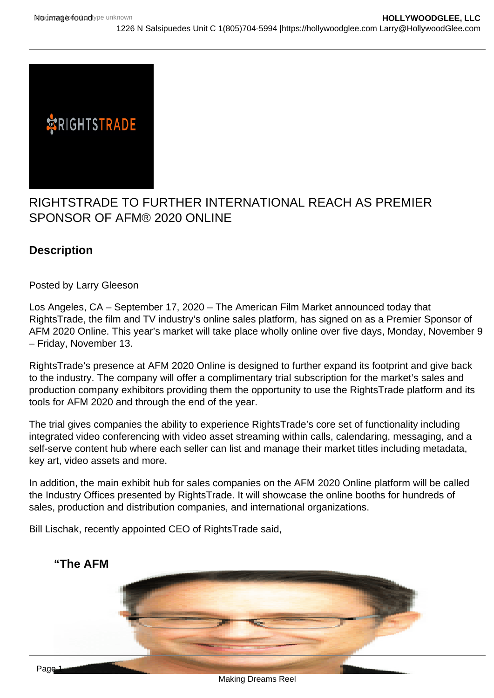## RIGHTSTRADE TO FURTHER INTERNATIONAL REACH AS PREMIER SPONSOR OF AFM® 2020 ONLINE

**Description** 

Posted by Larry Gleeson

Los Angeles, CA – September 17, 2020 – The American Film Market announced today that RightsTrade, the film and TV industry's online sales platform, has signed on as a Premier Sponsor of AFM 2020 Online. This year's market will take place wholly online over five days, Monday, November 9 – Friday, November 13.

RightsTrade's presence at AFM 2020 Online is designed to further expand its footprint and give back to the industry. The company will offer a complimentary trial subscription for the market's sales and production company exhibitors providing them the opportunity to use the RightsTrade platform and its tools for AFM 2020 and through the end of the year.

The trial gives companies the ability to experience RightsTrade's core set of functionality including integrated video conferencing with video asset streaming within calls, calendaring, messaging, and a self-serve content hub where each seller can list and manage their market titles including metadata, key art, video assets and more.

In addition, the main exhibit hub for sales companies on the AFM 2020 Online platform will be called the Industry Offices presented by RightsTrade. It will showcase the online booths for hundreds of sales, production and distribution companies, and international organizations.

Bill Lischak, recently appointed CEO of RightsTrade said,

"The AFM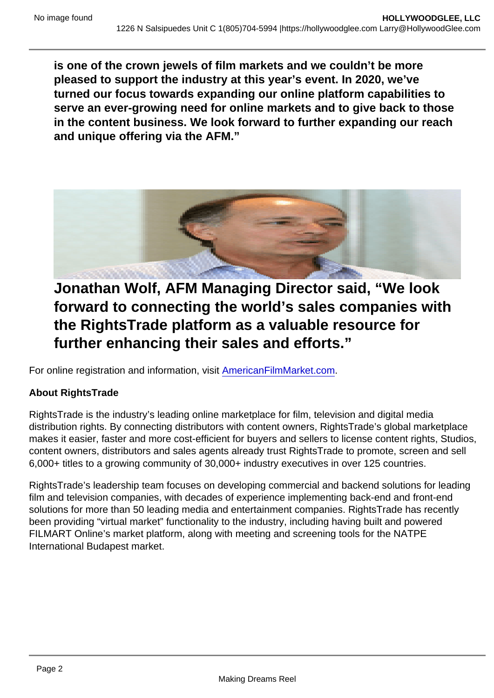is one of the crown jewels of film markets and we couldn't be more pleased to support the industry at this year's event. In 2020, we've turned our focus towards expanding our online platform capabilities to serve an ever-growing need for online markets and to give back to those in the content business. We look forward to further expanding our reach and unique offering via the AFM."

Jonathan Wolf, AFM Managing Director said, "We look forward to connecting the world's sales companies with the RightsTrade platform as a valuable resource for further enhancing their sales and efforts."

For online registration and information, visit [AmericanFilmMarket.com.](https://americanfilmmarket.com/)

About RightsTrade

RightsTrade is the industry's leading online marketplace for film, television and digital media distribution rights. By connecting distributors with content owners, RightsTrade's global marketplace makes it easier, faster and more cost-efficient for buyers and sellers to license content rights, Studios, content owners, distributors and sales agents already trust RightsTrade to promote, screen and sell 6,000+ titles to a growing community of 30,000+ industry executives in over 125 countries.

RightsTrade's leadership team focuses on developing commercial and backend solutions for leading film and television companies, with decades of experience implementing back-end and front-end solutions for more than 50 leading media and entertainment companies. RightsTrade has recently been providing "virtual market" functionality to the industry, including having built and powered FILMART Online's market platform, along with meeting and screening tools for the NATPE International Budapest market.